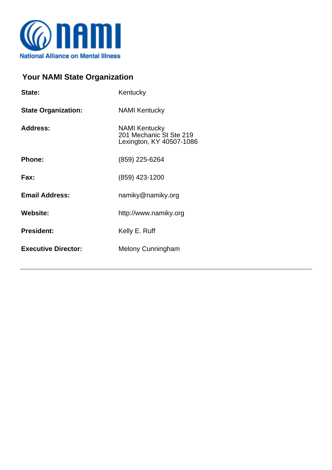

## **Your NAMI State Organization**

| State:                     | Kentucky                                                                    |
|----------------------------|-----------------------------------------------------------------------------|
| <b>State Organization:</b> | <b>NAMI Kentucky</b>                                                        |
| <b>Address:</b>            | <b>NAMI Kentucky</b><br>201 Mechanic St Ste 219<br>Lexington, KY 40507-1086 |
| <b>Phone:</b>              | (859) 225-6264                                                              |
| Fax:                       | (859) 423-1200                                                              |
| <b>Email Address:</b>      | namiky@namiky.org                                                           |
| <b>Website:</b>            | http://www.namiky.org                                                       |
| <b>President:</b>          | Kelly E. Ruff                                                               |
| <b>Executive Director:</b> | <b>Melony Cunningham</b>                                                    |
|                            |                                                                             |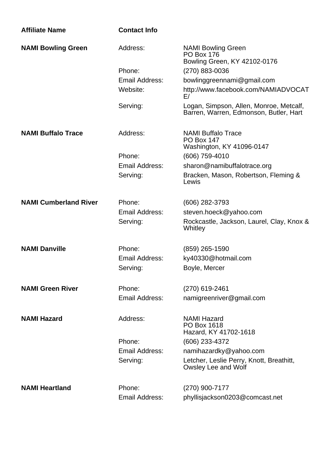| <b>Affiliate Name</b>        | <b>Contact Info</b>   |                                                                                   |
|------------------------------|-----------------------|-----------------------------------------------------------------------------------|
| <b>NAMI Bowling Green</b>    | Address:              | <b>NAMI Bowling Green</b><br><b>PO Box 176</b><br>Bowling Green, KY 42102-0176    |
|                              | Phone:                | (270) 883-0036                                                                    |
|                              | Email Address:        | bowlinggreennami@gmail.com                                                        |
|                              | Website:              | http://www.facebook.com/NAMIADVOCAT<br>E/                                         |
|                              | Serving:              | Logan, Simpson, Allen, Monroe, Metcalf,<br>Barren, Warren, Edmonson, Butler, Hart |
| <b>NAMI Buffalo Trace</b>    | Address:              | <b>NAMI Buffalo Trace</b><br><b>PO Box 147</b><br>Washington, KY 41096-0147       |
|                              | Phone:                | (606) 759-4010                                                                    |
|                              | Email Address:        | sharon@namibuffalotrace.org                                                       |
|                              | Serving:              | Bracken, Mason, Robertson, Fleming &<br>Lewis                                     |
| <b>NAMI Cumberland River</b> | Phone:                | (606) 282-3793                                                                    |
|                              | Email Address:        | steven.hoeck@yahoo.com                                                            |
|                              | Serving:              | Rockcastle, Jackson, Laurel, Clay, Knox &<br>Whitley                              |
| <b>NAMI Danville</b>         | Phone:                | (859) 265-1590                                                                    |
|                              | <b>Email Address:</b> | ky40330@hotmail.com                                                               |
|                              | Serving:              | Boyle, Mercer                                                                     |
| <b>NAMI Green River</b>      | Phone:                | (270) 619-2461                                                                    |
|                              | Email Address:        | namigreenriver@gmail.com                                                          |
| <b>NAMI Hazard</b>           | Address:              | <b>NAMI Hazard</b><br>PO Box 1618<br>Hazard, KY 41702-1618                        |
|                              | Phone:                | (606) 233-4372                                                                    |
|                              | Email Address:        | namihazardky@yahoo.com                                                            |
|                              | Serving:              | Letcher, Leslie Perry, Knott, Breathitt,<br>Owsley Lee and Wolf                   |
| <b>NAMI Heartland</b>        | Phone:                | (270) 900-7177                                                                    |
|                              | Email Address:        | phyllisjackson0203@comcast.net                                                    |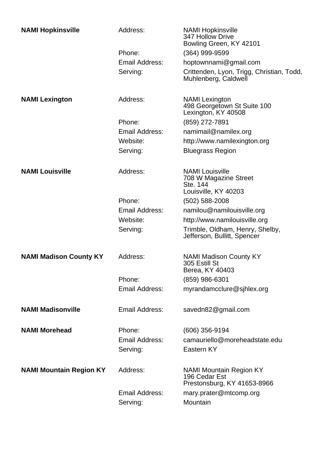| <b>NAMI Hopkinsville</b>       | Address:       | <b>NAMI Hopkinsville</b><br>347 Hollow Drive<br>Bowling Green, KY 42101             |
|--------------------------------|----------------|-------------------------------------------------------------------------------------|
|                                | Phone:         | (364) 999-9599                                                                      |
|                                | Email Address: | hoptownnami@gmail.com                                                               |
|                                | Serving:       | Crittenden, Lyon, Trigg, Christian, Todd,<br>Muhlenberg, Caldwell                   |
| <b>NAMI Lexington</b>          | Address:       | <b>NAMI</b> Lexington<br>498 Georgetown St Suite 100<br>Lexington, KY 40508         |
|                                | Phone:         | (859) 272-7891                                                                      |
|                                | Email Address: | namimail@namilex.org                                                                |
|                                | Website:       | http://www.namilexington.org                                                        |
|                                | Serving:       | <b>Bluegrass Region</b>                                                             |
| <b>NAMI Louisville</b>         | Address:       | <b>NAMI Louisville</b><br>708 W Magazine Street<br>Ste. 144<br>Louisville, KY 40203 |
|                                | Phone:         | (502) 588-2008                                                                      |
|                                | Email Address: | namilou@namilouisville.org                                                          |
|                                | Website:       | http://www.namilouisville.org                                                       |
|                                | Serving:       | Trimble, Oldham, Henry, Shelby,<br>Jefferson, Bullitt, Spencer                      |
| <b>NAMI Madison County KY</b>  | Address:       | <b>NAMI Madison County KY</b><br>305 Estill St<br>Berea, KY 40403                   |
|                                | Phone:         | (859) 986-6301                                                                      |
|                                | Email Address: | myrandamcclure@sjhlex.org                                                           |
| <b>NAMI Madisonville</b>       | Email Address: | savedn82@gmail.com                                                                  |
| <b>NAMI Morehead</b>           | Phone:         | (606) 356-9194                                                                      |
|                                | Email Address: | camauriello@moreheadstate.edu                                                       |
|                                | Serving:       | Eastern KY                                                                          |
| <b>NAMI Mountain Region KY</b> | Address:       | <b>NAMI Mountain Region KY</b><br>196 Cedar Est<br>Prestonsburg, KY 41653-8966      |
|                                | Email Address: | mary.prater@mtcomp.org                                                              |
|                                | Serving:       | Mountain                                                                            |
|                                |                |                                                                                     |